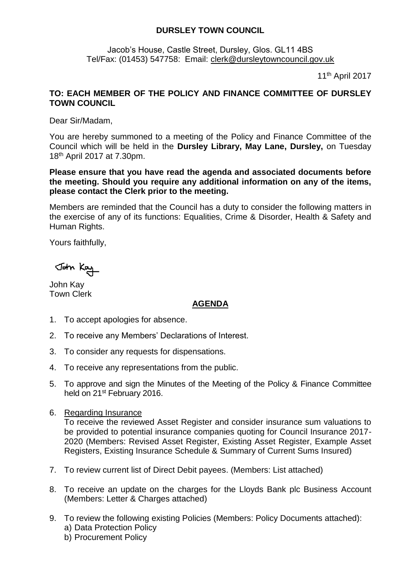## **DURSLEY TOWN COUNCIL**

Jacob's House, Castle Street, Dursley, Glos. GL11 4BS Tel/Fax: (01453) 547758: Email: [clerk@dursleytowncouncil.gov.uk](mailto:clerk@dursleytowncouncil.gov.uk)

11 th April 2017

## **TO: EACH MEMBER OF THE POLICY AND FINANCE COMMITTEE OF DURSLEY TOWN COUNCIL**

Dear Sir/Madam,

You are hereby summoned to a meeting of the Policy and Finance Committee of the Council which will be held in the **Dursley Library, May Lane, Dursley,** on Tuesday 18th April 2017 at 7.30pm.

**Please ensure that you have read the agenda and associated documents before the meeting. Should you require any additional information on any of the items, please contact the Clerk prior to the meeting.** 

Members are reminded that the Council has a duty to consider the following matters in the exercise of any of its functions: Equalities, Crime & Disorder, Health & Safety and Human Rights.

Yours faithfully,

John Kay

John Kay Town Clerk

## **AGENDA**

- 1. To accept apologies for absence.
- 2. To receive any Members' Declarations of Interest.
- 3. To consider any requests for dispensations.
- 4. To receive any representations from the public.
- 5. To approve and sign the Minutes of the Meeting of the Policy & Finance Committee held on 21<sup>st</sup> February 2016.
- 6. Regarding Insurance

To receive the reviewed Asset Register and consider insurance sum valuations to be provided to potential insurance companies quoting for Council Insurance 2017- 2020 (Members: Revised Asset Register, Existing Asset Register, Example Asset Registers, Existing Insurance Schedule & Summary of Current Sums Insured)

- 7. To review current list of Direct Debit payees. (Members: List attached)
- 8. To receive an update on the charges for the Lloyds Bank plc Business Account (Members: Letter & Charges attached)
- 9. To review the following existing Policies (Members: Policy Documents attached): a) Data Protection Policy b) Procurement Policy